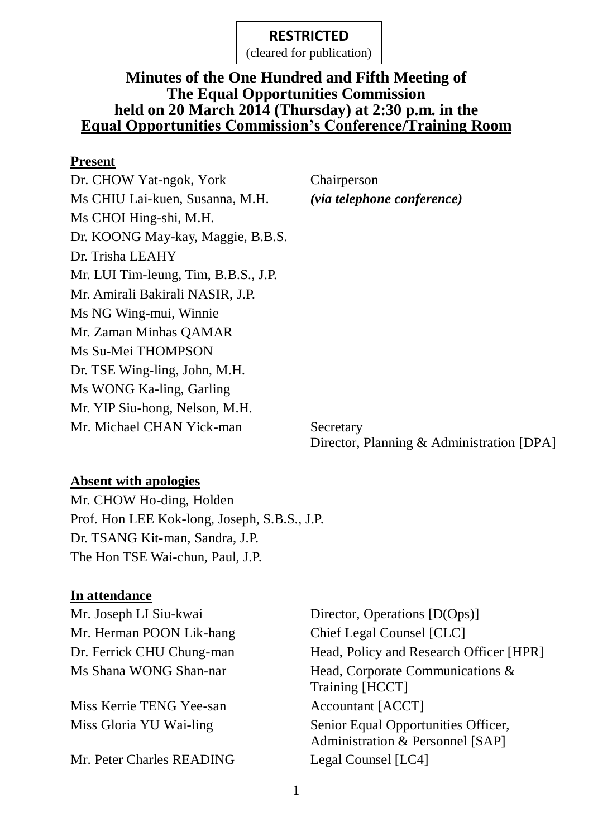(cleared for publication)

### **Minutes of the One Hundred and Fifth Meeting of The Equal Opportunities Commission held on 20 March 2014 (Thursday) at 2:30 p.m. in the Equal Opportunities Commission's Conference/Training Room**

#### **Present**

Dr. CHOW Yat-ngok, York Chairperson Ms CHIU Lai-kuen, Susanna, M.H. *(via telephone conference)*  Ms CHOI Hing-shi, M.H. Dr. KOONG May-kay, Maggie, B.B.S. Dr. Trisha LEAHY Mr. LUI Tim-leung, Tim, B.B.S., J.P. Mr. Amirali Bakirali NASIR, J.P. Ms NG Wing-mui, Winnie Mr. Zaman Minhas QAMAR Ms Su-Mei THOMPSON Dr. TSE Wing-ling, John, M.H. Ms WONG Ka-ling, Garling Mr. YIP Siu-hong, Nelson, M.H. Mr. Michael CHAN Yick-man Secretary

Director, Planning & Administration [DPA]

### **Absent with apologies**

Mr. CHOW Ho-ding, Holden Prof. Hon LEE Kok-long, Joseph, S.B.S., J.P. Dr. TSANG Kit-man, Sandra, J.P. The Hon TSE Wai-chun, Paul, J.P.

### **In attendance**

Mr. Herman POON Lik-hang Chief Legal Counsel [CLC]

Miss Kerrie TENG Yee-san Accountant [ACCT]

Mr. Peter Charles READING Legal Counsel [LC4]

Mr. Joseph LI Siu-kwai Director, Operations [D(Ops)] Dr. Ferrick CHU Chung-man Head, Policy and Research Officer [HPR] Ms Shana WONG Shan-nar Head, Corporate Communications & Training [HCCT] Miss Gloria YU Wai-ling Senior Equal Opportunities Officer, Administration & Personnel [SAP]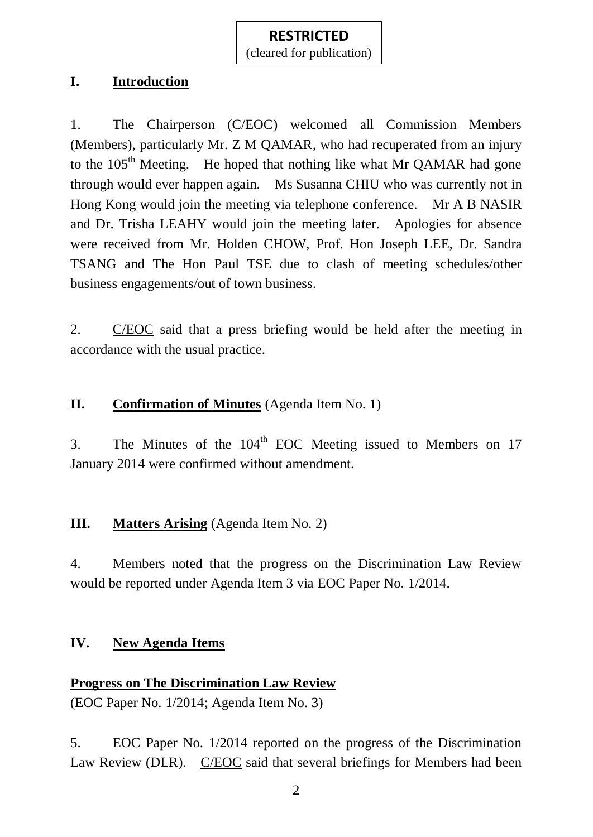(cleared for publication)

#### **I. Introduction**

1. The Chairperson (C/EOC) welcomed all Commission Members (Members), particularly Mr. Z M QAMAR, who had recuperated from an injury to the 105<sup>th</sup> Meeting. He hoped that nothing like what Mr QAMAR had gone through would ever happen again. Ms Susanna CHIU who was currently not in Hong Kong would join the meeting via telephone conference. Mr A B NASIR and Dr. Trisha LEAHY would join the meeting later. Apologies for absence were received from Mr. Holden CHOW, Prof. Hon Joseph LEE, Dr. Sandra TSANG and The Hon Paul TSE due to clash of meeting schedules/other business engagements/out of town business.

2. C/EOC said that a press briefing would be held after the meeting in accordance with the usual practice.

## **II. Confirmation of Minutes** (Agenda Item No. 1)

3. The Minutes of the  $104<sup>th</sup>$  EOC Meeting issued to Members on 17 January 2014 were confirmed without amendment.

### **III. Matters Arising** (Agenda Item No. 2)

4. Members noted that the progress on the Discrimination Law Review would be reported under Agenda Item 3 via EOC Paper No. 1/2014.

### **IV. New Agenda Items**

# **Progress on The Discrimination Law Review**

(EOC Paper No. 1/2014; Agenda Item No. 3)

5. EOC Paper No. 1/2014 reported on the progress of the Discrimination Law Review (DLR). C/EOC said that several briefings for Members had been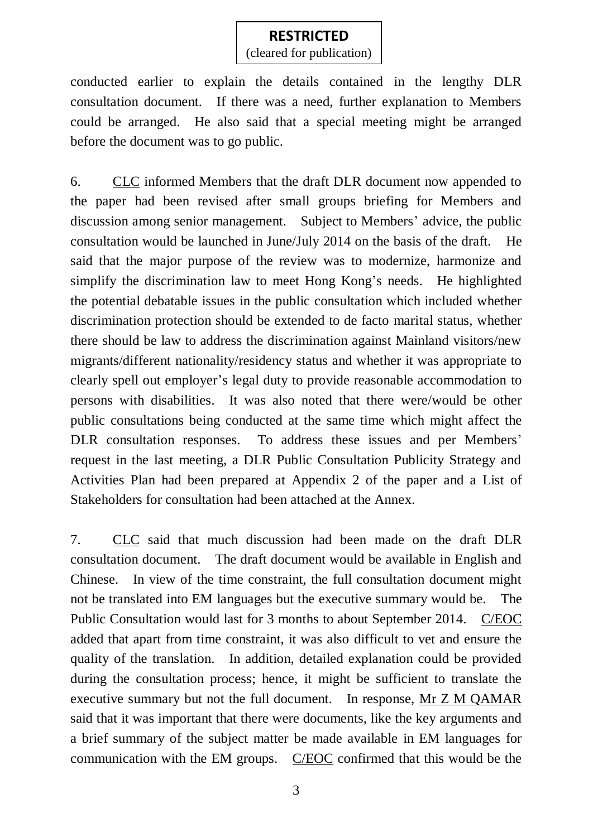(cleared for publication)

conducted earlier to explain the details contained in the lengthy DLR consultation document. If there was a need, further explanation to Members could be arranged. He also said that a special meeting might be arranged before the document was to go public.

6. CLC informed Members that the draft DLR document now appended to the paper had been revised after small groups briefing for Members and discussion among senior management. Subject to Members' advice, the public consultation would be launched in June/July 2014 on the basis of the draft. He said that the major purpose of the review was to modernize, harmonize and simplify the discrimination law to meet Hong Kong's needs. He highlighted the potential debatable issues in the public consultation which included whether discrimination protection should be extended to de facto marital status, whether there should be law to address the discrimination against Mainland visitors/new migrants/different nationality/residency status and whether it was appropriate to clearly spell out employer's legal duty to provide reasonable accommodation to persons with disabilities. It was also noted that there were/would be other public consultations being conducted at the same time which might affect the DLR consultation responses. To address these issues and per Members' request in the last meeting, a DLR Public Consultation Publicity Strategy and Activities Plan had been prepared at Appendix 2 of the paper and a List of Stakeholders for consultation had been attached at the Annex.

7. CLC said that much discussion had been made on the draft DLR consultation document. The draft document would be available in English and Chinese. In view of the time constraint, the full consultation document might not be translated into EM languages but the executive summary would be. The Public Consultation would last for 3 months to about September 2014. C/EOC added that apart from time constraint, it was also difficult to vet and ensure the quality of the translation. In addition, detailed explanation could be provided during the consultation process; hence, it might be sufficient to translate the executive summary but not the full document. In response, Mr Z M QAMAR said that it was important that there were documents, like the key arguments and a brief summary of the subject matter be made available in EM languages for communication with the EM groups. C/EOC confirmed that this would be the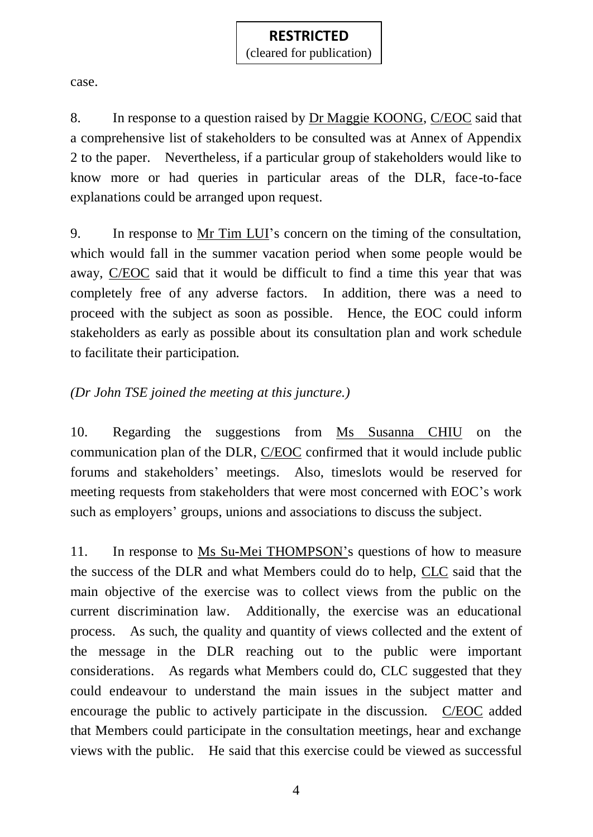(cleared for publication)

case.

8. In response to a question raised by Dr Maggie KOONG, C/EOC said that a comprehensive list of stakeholders to be consulted was at Annex of Appendix 2 to the paper. Nevertheless, if a particular group of stakeholders would like to know more or had queries in particular areas of the DLR, face-to-face explanations could be arranged upon request.

9. In response to Mr Tim LUI's concern on the timing of the consultation, which would fall in the summer vacation period when some people would be away, C/EOC said that it would be difficult to find a time this year that was completely free of any adverse factors. In addition, there was a need to proceed with the subject as soon as possible. Hence, the EOC could inform stakeholders as early as possible about its consultation plan and work schedule to facilitate their participation.

### *(Dr John TSE joined the meeting at this juncture.)*

10. Regarding the suggestions from Ms Susanna CHIU on the communication plan of the DLR, C/EOC confirmed that it would include public forums and stakeholders' meetings. Also, timeslots would be reserved for meeting requests from stakeholders that were most concerned with EOC's work such as employers' groups, unions and associations to discuss the subject.

11. In response to Ms Su-Mei THOMPSON's questions of how to measure the success of the DLR and what Members could do to help, CLC said that the main objective of the exercise was to collect views from the public on the current discrimination law. Additionally, the exercise was an educational process. As such, the quality and quantity of views collected and the extent of the message in the DLR reaching out to the public were important considerations. As regards what Members could do, CLC suggested that they could endeavour to understand the main issues in the subject matter and encourage the public to actively participate in the discussion. C/EOC added that Members could participate in the consultation meetings, hear and exchange views with the public. He said that this exercise could be viewed as successful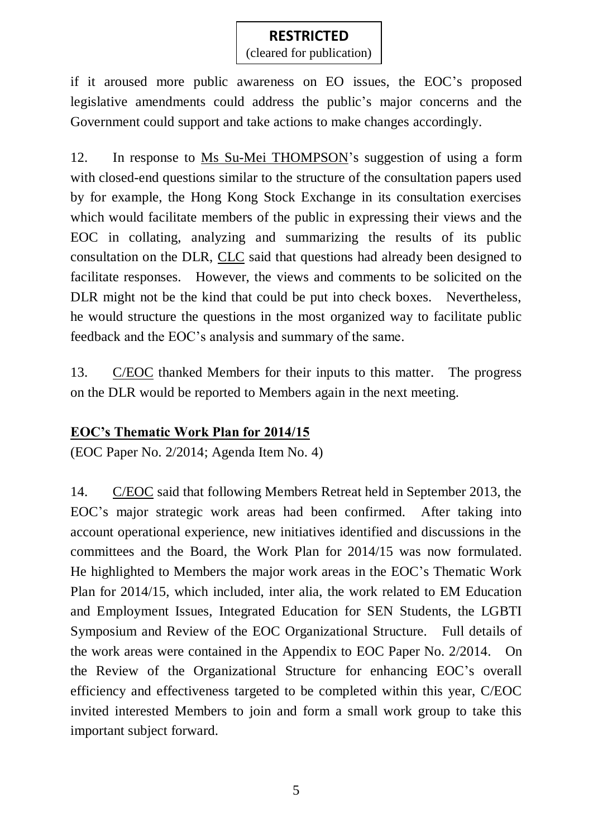(cleared for publication)

if it aroused more public awareness on EO issues, the EOC's proposed legislative amendments could address the public's major concerns and the Government could support and take actions to make changes accordingly.

12. In response to Ms Su-Mei THOMPSON's suggestion of using a form with closed-end questions similar to the structure of the consultation papers used by for example, the Hong Kong Stock Exchange in its consultation exercises which would facilitate members of the public in expressing their views and the EOC in collating, analyzing and summarizing the results of its public consultation on the DLR, CLC said that questions had already been designed to facilitate responses. However, the views and comments to be solicited on the DLR might not be the kind that could be put into check boxes. Nevertheless, he would structure the questions in the most organized way to facilitate public feedback and the EOC's analysis and summary of the same.

13. C/EOC thanked Members for their inputs to this matter. The progress on the DLR would be reported to Members again in the next meeting.

### **EOC's Thematic Work Plan for 2014/15**

(EOC Paper No. 2/2014; Agenda Item No. 4)

14. C/EOC said that following Members Retreat held in September 2013, the EOC's major strategic work areas had been confirmed. After taking into account operational experience, new initiatives identified and discussions in the committees and the Board, the Work Plan for 2014/15 was now formulated. He highlighted to Members the major work areas in the EOC's Thematic Work Plan for 2014/15, which included, inter alia, the work related to EM Education and Employment Issues, Integrated Education for SEN Students, the LGBTI Symposium and Review of the EOC Organizational Structure. Full details of the work areas were contained in the Appendix to EOC Paper No. 2/2014. On the Review of the Organizational Structure for enhancing EOC's overall efficiency and effectiveness targeted to be completed within this year, C/EOC invited interested Members to join and form a small work group to take this important subject forward.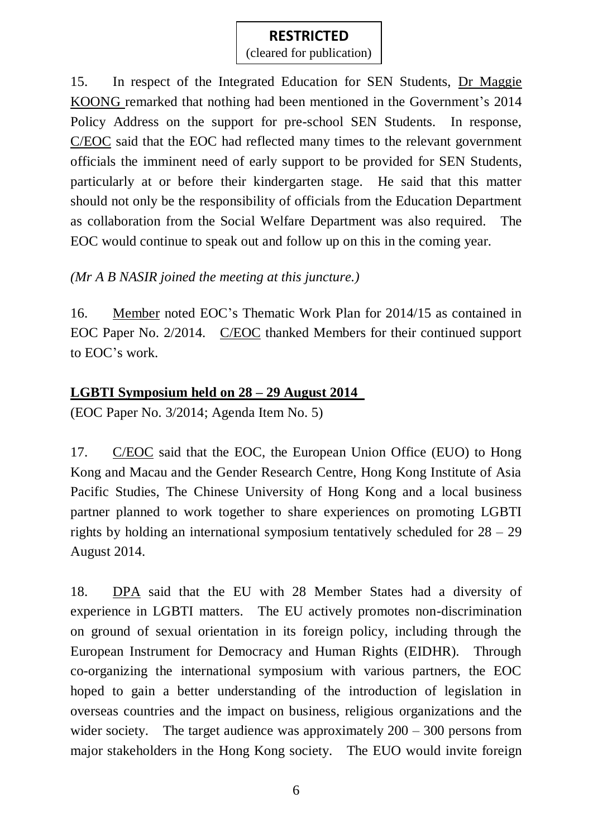### **RESTRICTED** (cleared for publication)

15. In respect of the Integrated Education for SEN Students, Dr Maggie KOONG remarked that nothing had been mentioned in the Government's 2014 Policy Address on the support for pre-school SEN Students. In response, C/EOC said that the EOC had reflected many times to the relevant government officials the imminent need of early support to be provided for SEN Students, particularly at or before their kindergarten stage. He said that this matter should not only be the responsibility of officials from the Education Department as collaboration from the Social Welfare Department was also required. The EOC would continue to speak out and follow up on this in the coming year.

*(Mr A B NASIR joined the meeting at this juncture.)*

16. Member noted EOC's Thematic Work Plan for 2014/15 as contained in EOC Paper No. 2/2014. C/EOC thanked Members for their continued support to EOC's work.

#### **LGBTI Symposium held on 28 – 29 August 2014**

(EOC Paper No. 3/2014; Agenda Item No. 5)

17. C/EOC said that the EOC, the European Union Office (EUO) to Hong Kong and Macau and the Gender Research Centre, Hong Kong Institute of Asia Pacific Studies, The Chinese University of Hong Kong and a local business partner planned to work together to share experiences on promoting LGBTI rights by holding an international symposium tentatively scheduled for 28 – 29 August 2014.

18. DPA said that the EU with 28 Member States had a diversity of experience in LGBTI matters. The EU actively promotes non-discrimination on ground of sexual orientation in its foreign policy, including through the European Instrument for Democracy and Human Rights (EIDHR). Through co-organizing the international symposium with various partners, the EOC hoped to gain a better understanding of the introduction of legislation in overseas countries and the impact on business, religious organizations and the wider society. The target audience was approximately  $200 - 300$  persons from major stakeholders in the Hong Kong society. The EUO would invite foreign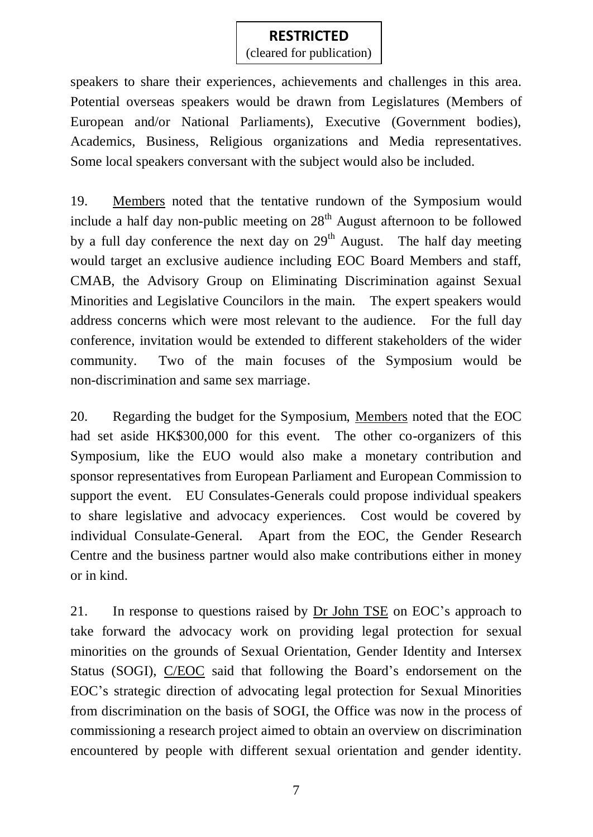(cleared for publication)

speakers to share their experiences, achievements and challenges in this area. Potential overseas speakers would be drawn from Legislatures (Members of European and/or National Parliaments), Executive (Government bodies), Academics, Business, Religious organizations and Media representatives. Some local speakers conversant with the subject would also be included.

19. Members noted that the tentative rundown of the Symposium would include a half day non-public meeting on  $28<sup>th</sup>$  August afternoon to be followed by a full day conference the next day on  $29<sup>th</sup>$  August. The half day meeting would target an exclusive audience including EOC Board Members and staff, CMAB, the Advisory Group on Eliminating Discrimination against Sexual Minorities and Legislative Councilors in the main. The expert speakers would address concerns which were most relevant to the audience. For the full day conference, invitation would be extended to different stakeholders of the wider community. Two of the main focuses of the Symposium would be non-discrimination and same sex marriage.

20. Regarding the budget for the Symposium, Members noted that the EOC had set aside HK\$300,000 for this event. The other co-organizers of this Symposium, like the EUO would also make a monetary contribution and sponsor representatives from European Parliament and European Commission to support the event. EU Consulates-Generals could propose individual speakers to share legislative and advocacy experiences. Cost would be covered by individual Consulate-General. Apart from the EOC, the Gender Research Centre and the business partner would also make contributions either in money or in kind.

21. In response to questions raised by Dr John TSE on EOC's approach to take forward the advocacy work on providing legal protection for sexual minorities on the grounds of Sexual Orientation, Gender Identity and Intersex Status (SOGI), C/EOC said that following the Board's endorsement on the EOC's strategic direction of advocating legal protection for Sexual Minorities from discrimination on the basis of SOGI, the Office was now in the process of commissioning a research project aimed to obtain an overview on discrimination encountered by people with different sexual orientation and gender identity.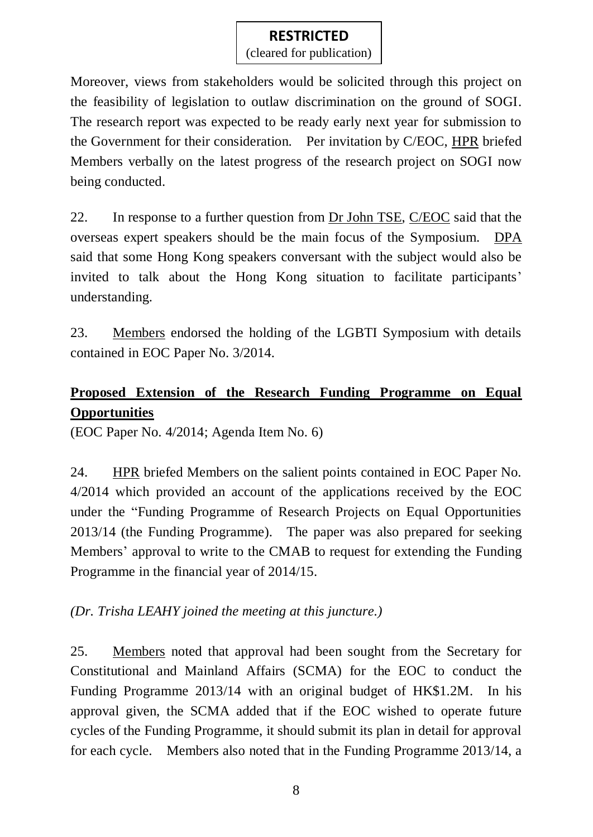(cleared for publication)

Moreover, views from stakeholders would be solicited through this project on the feasibility of legislation to outlaw discrimination on the ground of SOGI. The research report was expected to be ready early next year for submission to the Government for their consideration. Per invitation by C/EOC, HPR briefed Members verbally on the latest progress of the research project on SOGI now being conducted.

22. In response to a further question from Dr John TSE, C/EOC said that the overseas expert speakers should be the main focus of the Symposium. DPA said that some Hong Kong speakers conversant with the subject would also be invited to talk about the Hong Kong situation to facilitate participants' understanding.

23. Members endorsed the holding of the LGBTI Symposium with details contained in EOC Paper No. 3/2014.

# **Proposed Extension of the Research Funding Programme on Equal Opportunities**

(EOC Paper No. 4/2014; Agenda Item No. 6)

24. HPR briefed Members on the salient points contained in EOC Paper No. 4/2014 which provided an account of the applications received by the EOC under the "Funding Programme of Research Projects on Equal Opportunities 2013/14 (the Funding Programme). The paper was also prepared for seeking Members' approval to write to the CMAB to request for extending the Funding Programme in the financial year of 2014/15.

### *(Dr. Trisha LEAHY joined the meeting at this juncture.)*

25. Members noted that approval had been sought from the Secretary for Constitutional and Mainland Affairs (SCMA) for the EOC to conduct the Funding Programme 2013/14 with an original budget of HK\$1.2M. In his approval given, the SCMA added that if the EOC wished to operate future cycles of the Funding Programme, it should submit its plan in detail for approval for each cycle. Members also noted that in the Funding Programme 2013/14, a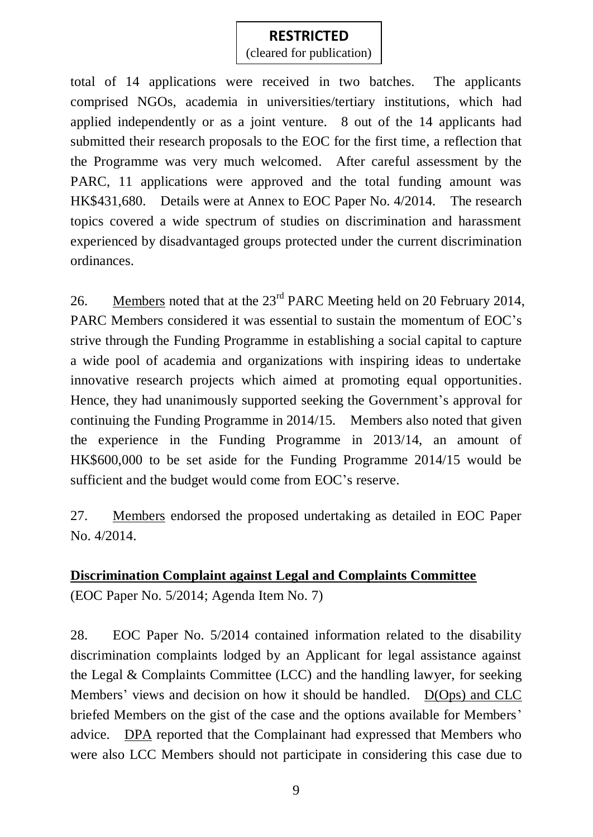(cleared for publication)

total of 14 applications were received in two batches. The applicants comprised NGOs, academia in universities/tertiary institutions, which had applied independently or as a joint venture. 8 out of the 14 applicants had submitted their research proposals to the EOC for the first time, a reflection that the Programme was very much welcomed. After careful assessment by the PARC, 11 applications were approved and the total funding amount was HK\$431,680. Details were at Annex to EOC Paper No. 4/2014. The research topics covered a wide spectrum of studies on discrimination and harassment experienced by disadvantaged groups protected under the current discrimination ordinances.

26. Members noted that at the 23<sup>rd</sup> PARC Meeting held on 20 February 2014, PARC Members considered it was essential to sustain the momentum of EOC's strive through the Funding Programme in establishing a social capital to capture a wide pool of academia and organizations with inspiring ideas to undertake innovative research projects which aimed at promoting equal opportunities. Hence, they had unanimously supported seeking the Government's approval for continuing the Funding Programme in 2014/15. Members also noted that given the experience in the Funding Programme in 2013/14, an amount of HK\$600,000 to be set aside for the Funding Programme 2014/15 would be sufficient and the budget would come from EOC's reserve.

27. Members endorsed the proposed undertaking as detailed in EOC Paper No. 4/2014.

### **Discrimination Complaint against Legal and Complaints Committee**

(EOC Paper No. 5/2014; Agenda Item No. 7)

28. EOC Paper No. 5/2014 contained information related to the disability discrimination complaints lodged by an Applicant for legal assistance against the Legal & Complaints Committee (LCC) and the handling lawyer, for seeking Members' views and decision on how it should be handled. D(Ops) and CLC briefed Members on the gist of the case and the options available for Members' advice. DPA reported that the Complainant had expressed that Members who were also LCC Members should not participate in considering this case due to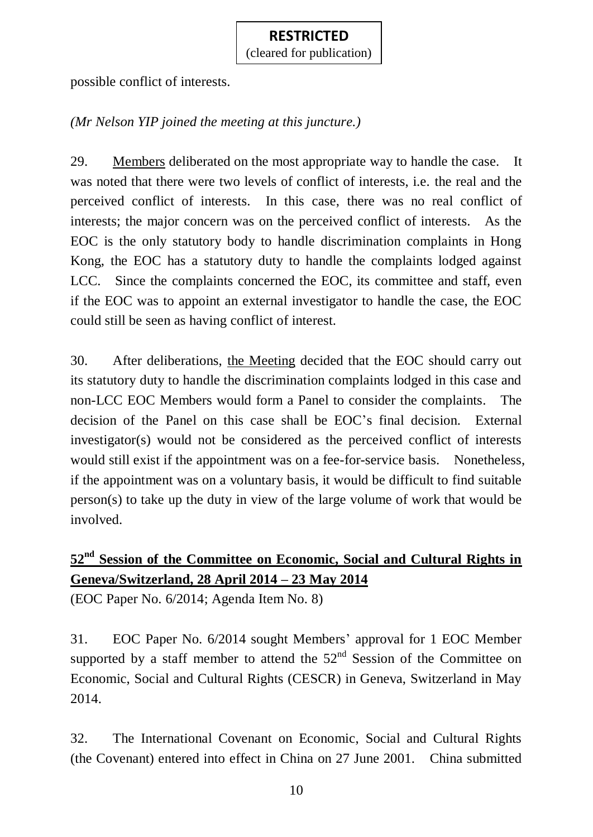(cleared for publication)

possible conflict of interests.

# *(Mr Nelson YIP joined the meeting at this juncture.)*

29. Members deliberated on the most appropriate way to handle the case. It was noted that there were two levels of conflict of interests, i.e. the real and the perceived conflict of interests. In this case, there was no real conflict of interests; the major concern was on the perceived conflict of interests. As the EOC is the only statutory body to handle discrimination complaints in Hong Kong, the EOC has a statutory duty to handle the complaints lodged against LCC. Since the complaints concerned the EOC, its committee and staff, even if the EOC was to appoint an external investigator to handle the case, the EOC could still be seen as having conflict of interest.

30. After deliberations, the Meeting decided that the EOC should carry out its statutory duty to handle the discrimination complaints lodged in this case and non-LCC EOC Members would form a Panel to consider the complaints. The decision of the Panel on this case shall be EOC's final decision. External investigator(s) would not be considered as the perceived conflict of interests would still exist if the appointment was on a fee-for-service basis. Nonetheless, if the appointment was on a voluntary basis, it would be difficult to find suitable person(s) to take up the duty in view of the large volume of work that would be involved.

# **52nd Session of the Committee on Economic, Social and Cultural Rights in Geneva/Switzerland, 28 April 2014 – 23 May 2014**

(EOC Paper No. 6/2014; Agenda Item No. 8)

31. EOC Paper No. 6/2014 sought Members' approval for 1 EOC Member supported by a staff member to attend the  $52<sup>nd</sup>$  Session of the Committee on Economic, Social and Cultural Rights (CESCR) in Geneva, Switzerland in May 2014.

32. The International Covenant on Economic, Social and Cultural Rights (the Covenant) entered into effect in China on 27 June 2001. China submitted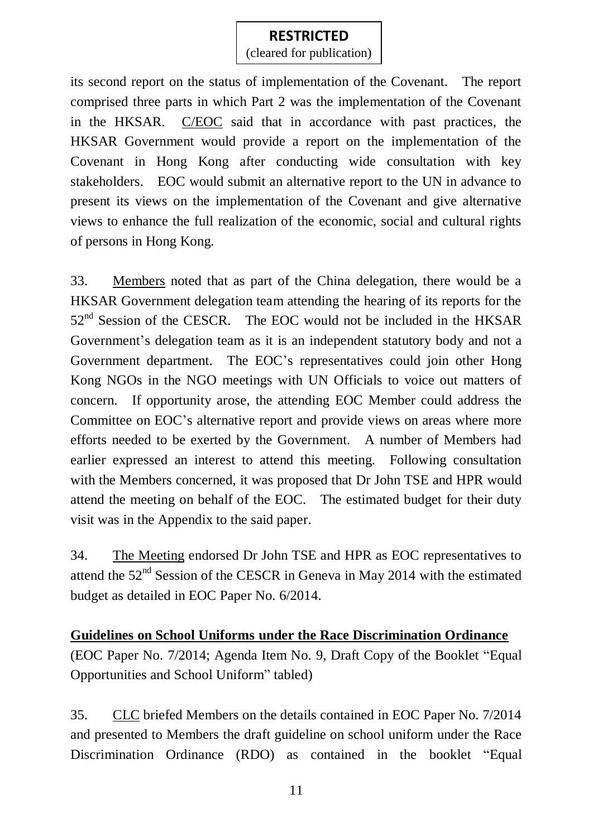(cleared for publication)

its second report on the status of implementation of the Covenant. The report comprised three parts in which Part 2 was the implementation of the Covenant in the HKSAR. C/EOC said that in accordance with past practices, the HKSAR Government would provide a report on the implementation of the Covenant in Hong Kong after conducting wide consultation with key stakeholders. EOC would submit an alternative report to the UN in advance to present its views on the implementation of the Covenant and give alternative views to enhance the full realization of the economic, social and cultural rights of persons in Hong Kong.

33. Members noted that as part of the China delegation, there would be a HKSAR Government delegation team attending the hearing of its reports for the  $52<sup>nd</sup>$  Session of the CESCR. The EOC would not be included in the HKSAR Government's delegation team as it is an independent statutory body and not a Government department. The EOC's representatives could join other Hong Kong NGOs in the NGO meetings with UN Officials to voice out matters of concern. If opportunity arose, the attending EOC Member could address the Committee on EOC's alternative report and provide views on areas where more efforts needed to be exerted by the Government. A number of Members had earlier expressed an interest to attend this meeting. Following consultation with the Members concerned, it was proposed that Dr John TSE and HPR would attend the meeting on behalf of the EOC. The estimated budget for their duty visit was in the Appendix to the said paper.

34. The Meeting endorsed Dr John TSE and HPR as EOC representatives to attend the 52<sup>nd</sup> Session of the CESCR in Geneva in May 2014 with the estimated budget as detailed in EOC Paper No. 6/2014.

#### **Guidelines on School Uniforms under the Race Discrimination Ordinance**

(EOC Paper No. 7/2014; Agenda Item No. 9, Draft Copy of the Booklet "Equal Opportunities and School Uniform" tabled)

35. CLC briefed Members on the details contained in EOC Paper No. 7/2014 and presented to Members the draft guideline on school uniform under the Race Discrimination Ordinance (RDO) as contained in the booklet "Equal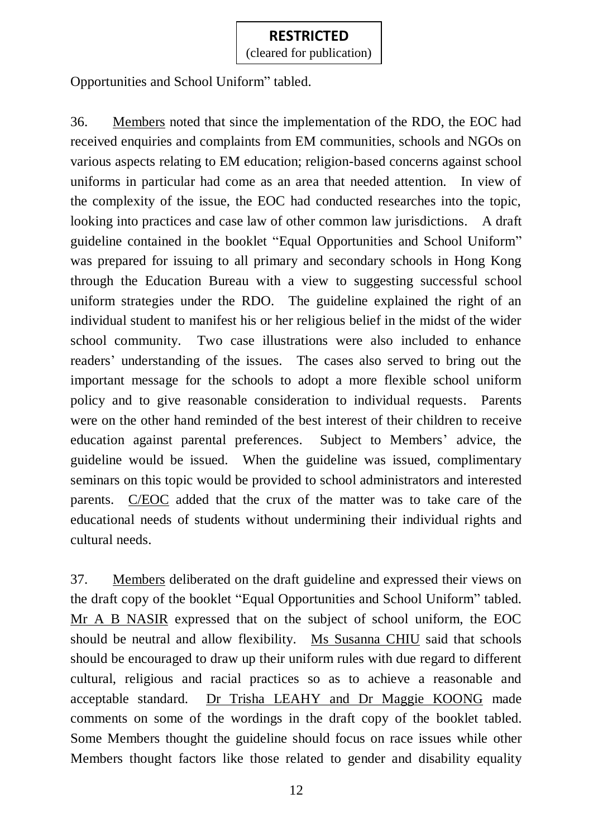(cleared for publication)

Opportunities and School Uniform" tabled.

36. Members noted that since the implementation of the RDO, the EOC had received enquiries and complaints from EM communities, schools and NGOs on various aspects relating to EM education; religion-based concerns against school uniforms in particular had come as an area that needed attention. In view of the complexity of the issue, the EOC had conducted researches into the topic, looking into practices and case law of other common law jurisdictions. A draft guideline contained in the booklet "Equal Opportunities and School Uniform" was prepared for issuing to all primary and secondary schools in Hong Kong through the Education Bureau with a view to suggesting successful school uniform strategies under the RDO. The guideline explained the right of an individual student to manifest his or her religious belief in the midst of the wider school community. Two case illustrations were also included to enhance readers' understanding of the issues. The cases also served to bring out the important message for the schools to adopt a more flexible school uniform policy and to give reasonable consideration to individual requests. Parents were on the other hand reminded of the best interest of their children to receive education against parental preferences. Subject to Members' advice, the guideline would be issued. When the guideline was issued, complimentary seminars on this topic would be provided to school administrators and interested parents. C/EOC added that the crux of the matter was to take care of the educational needs of students without undermining their individual rights and cultural needs.

37. Members deliberated on the draft guideline and expressed their views on the draft copy of the booklet "Equal Opportunities and School Uniform" tabled. Mr A B NASIR expressed that on the subject of school uniform, the EOC should be neutral and allow flexibility. Ms Susanna CHIU said that schools should be encouraged to draw up their uniform rules with due regard to different cultural, religious and racial practices so as to achieve a reasonable and acceptable standard. Dr Trisha LEAHY and Dr Maggie KOONG made comments on some of the wordings in the draft copy of the booklet tabled. Some Members thought the guideline should focus on race issues while other Members thought factors like those related to gender and disability equality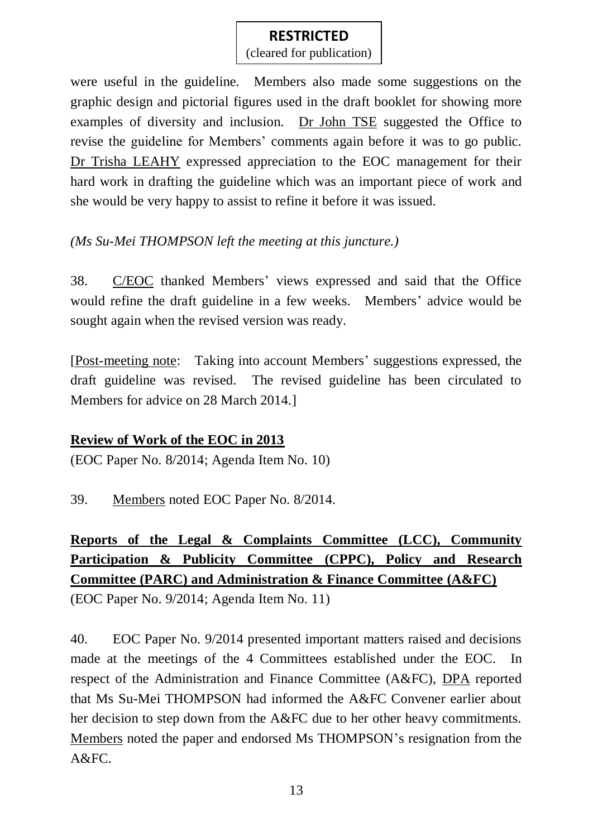(cleared for publication)

were useful in the guideline. Members also made some suggestions on the graphic design and pictorial figures used in the draft booklet for showing more examples of diversity and inclusion. Dr John TSE suggested the Office to revise the guideline for Members' comments again before it was to go public. Dr Trisha LEAHY expressed appreciation to the EOC management for their hard work in drafting the guideline which was an important piece of work and she would be very happy to assist to refine it before it was issued.

## *(Ms Su-Mei THOMPSON left the meeting at this juncture.)*

38. C/EOC thanked Members' views expressed and said that the Office would refine the draft guideline in a few weeks. Members' advice would be sought again when the revised version was ready.

[Post-meeting note: Taking into account Members' suggestions expressed, the draft guideline was revised. The revised guideline has been circulated to Members for advice on 28 March 2014.]

# **Review of Work of the EOC in 2013**

(EOC Paper No. 8/2014; Agenda Item No. 10)

39. Members noted EOC Paper No. 8/2014.

# **Reports of the Legal & Complaints Committee (LCC), Community Participation & Publicity Committee (CPPC), Policy and Research Committee (PARC) and Administration & Finance Committee (A&FC)**

(EOC Paper No. 9/2014; Agenda Item No. 11)

40. EOC Paper No. 9/2014 presented important matters raised and decisions made at the meetings of the 4 Committees established under the EOC. In respect of the Administration and Finance Committee (A&FC), DPA reported that Ms Su-Mei THOMPSON had informed the A&FC Convener earlier about her decision to step down from the A&FC due to her other heavy commitments. Members noted the paper and endorsed Ms THOMPSON's resignation from the A&FC.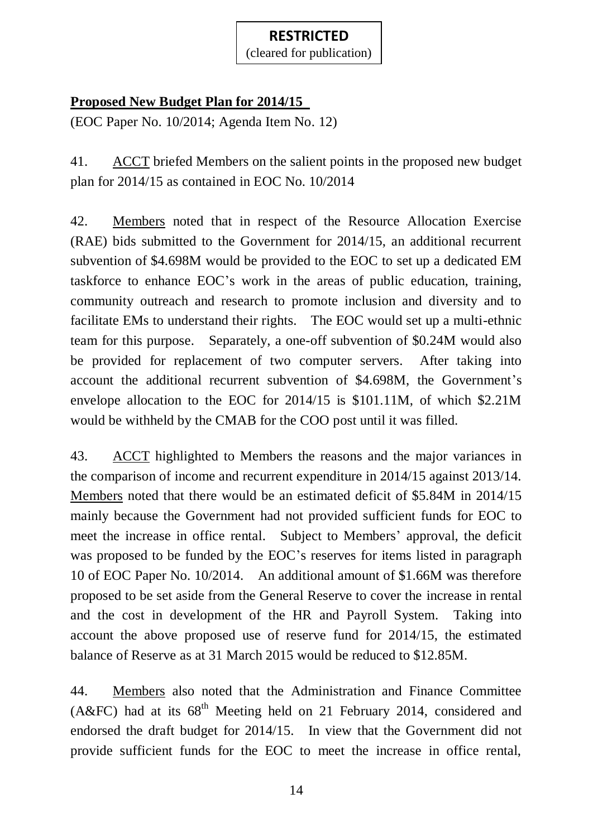(cleared for publication)

# **Proposed New Budget Plan for 2014/15**

(EOC Paper No. 10/2014; Agenda Item No. 12)

41. ACCT briefed Members on the salient points in the proposed new budget plan for 2014/15 as contained in EOC No. 10/2014

42. Members noted that in respect of the Resource Allocation Exercise (RAE) bids submitted to the Government for 2014/15, an additional recurrent subvention of \$4.698M would be provided to the EOC to set up a dedicated EM taskforce to enhance EOC's work in the areas of public education, training, community outreach and research to promote inclusion and diversity and to facilitate EMs to understand their rights. The EOC would set up a multi-ethnic team for this purpose. Separately, a one-off subvention of \$0.24M would also be provided for replacement of two computer servers. After taking into account the additional recurrent subvention of \$4.698M, the Government's envelope allocation to the EOC for 2014/15 is \$101.11M, of which \$2.21M would be withheld by the CMAB for the COO post until it was filled.

43. ACCT highlighted to Members the reasons and the major variances in the comparison of income and recurrent expenditure in 2014/15 against 2013/14. Members noted that there would be an estimated deficit of \$5.84M in 2014/15 mainly because the Government had not provided sufficient funds for EOC to meet the increase in office rental. Subject to Members' approval, the deficit was proposed to be funded by the EOC's reserves for items listed in paragraph 10 of EOC Paper No. 10/2014. An additional amount of \$1.66M was therefore proposed to be set aside from the General Reserve to cover the increase in rental and the cost in development of the HR and Payroll System. Taking into account the above proposed use of reserve fund for 2014/15, the estimated balance of Reserve as at 31 March 2015 would be reduced to \$12.85M.

44. Members also noted that the Administration and Finance Committee (A&FC) had at its  $68<sup>th</sup>$  Meeting held on 21 February 2014, considered and endorsed the draft budget for 2014/15. In view that the Government did not provide sufficient funds for the EOC to meet the increase in office rental,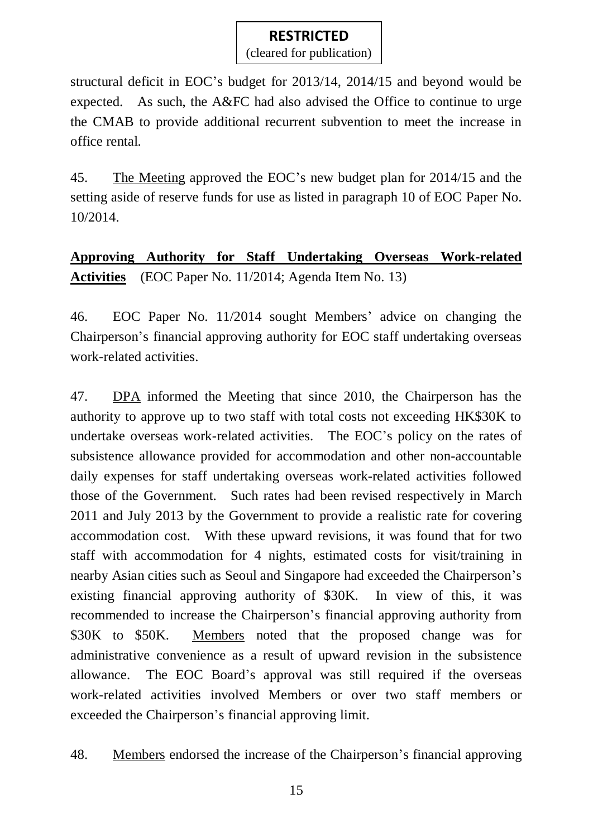(cleared for publication)

structural deficit in EOC's budget for 2013/14, 2014/15 and beyond would be expected. As such, the A&FC had also advised the Office to continue to urge the CMAB to provide additional recurrent subvention to meet the increase in office rental.

45. The Meeting approved the EOC's new budget plan for 2014/15 and the setting aside of reserve funds for use as listed in paragraph 10 of EOC Paper No. 10/2014.

**Approving Authority for Staff Undertaking Overseas Work-related Activities** (EOC Paper No. 11/2014; Agenda Item No. 13)

46. EOC Paper No. 11/2014 sought Members' advice on changing the Chairperson's financial approving authority for EOC staff undertaking overseas work-related activities.

47. DPA informed the Meeting that since 2010, the Chairperson has the authority to approve up to two staff with total costs not exceeding HK\$30K to undertake overseas work-related activities. The EOC's policy on the rates of subsistence allowance provided for accommodation and other non-accountable daily expenses for staff undertaking overseas work-related activities followed those of the Government. Such rates had been revised respectively in March 2011 and July 2013 by the Government to provide a realistic rate for covering accommodation cost. With these upward revisions, it was found that for two staff with accommodation for 4 nights, estimated costs for visit/training in nearby Asian cities such as Seoul and Singapore had exceeded the Chairperson's existing financial approving authority of \$30K. In view of this, it was recommended to increase the Chairperson's financial approving authority from \$30K to \$50K. Members noted that the proposed change was for administrative convenience as a result of upward revision in the subsistence allowance. The EOC Board's approval was still required if the overseas work-related activities involved Members or over two staff members or exceeded the Chairperson's financial approving limit.

48. Members endorsed the increase of the Chairperson's financial approving